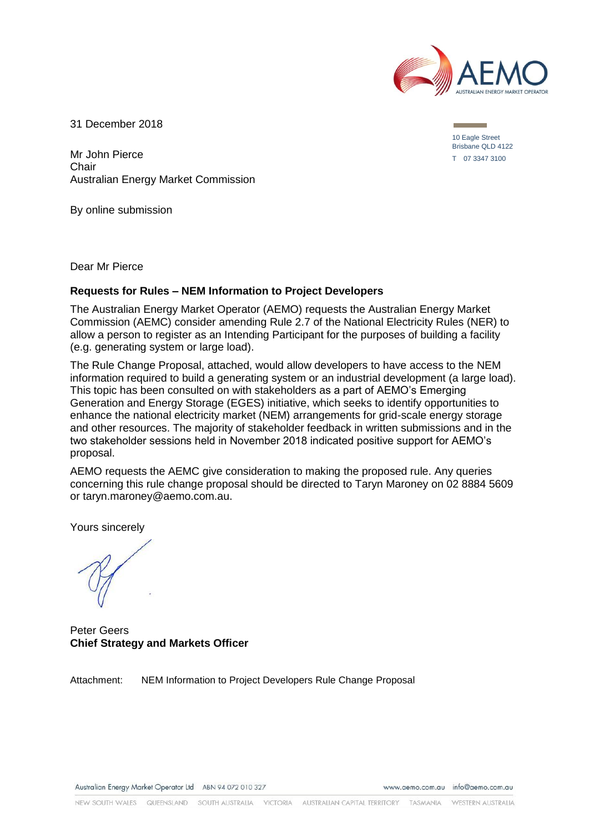

31 December 2018

Mr John Pierce Chair Australian Energy Market Commission

By online submission

Dear Mr Pierce

#### **Requests for Rules – NEM Information to Project Developers**

The Australian Energy Market Operator (AEMO) requests the Australian Energy Market Commission (AEMC) consider amending Rule 2.7 of the National Electricity Rules (NER) to allow a person to register as an Intending Participant for the purposes of building a facility (e.g. generating system or large load).

The Rule Change Proposal, attached, would allow developers to have access to the NEM information required to build a generating system or an industrial development (a large load). This topic has been consulted on with stakeholders as a part of AEMO's Emerging Generation and Energy Storage (EGES) initiative, which seeks to identify opportunities to enhance the national electricity market (NEM) arrangements for grid-scale energy storage and other resources. The majority of stakeholder feedback in written submissions and in the two stakeholder sessions held in November 2018 indicated positive support for AEMO's proposal.

AEMO requests the AEMC give consideration to making the proposed rule. Any queries concerning this rule change proposal should be directed to Taryn Maroney on 02 8884 5609 or taryn.maroney@aemo.com.au.

Yours sincerely

Peter Geers **Chief Strategy and Markets Officer**

Attachment: NEM Information to Project Developers Rule Change Proposal

www.gemo.com.gu info@gemo.com.gu

10 Eagle Street Brisbane QLD 4122 T 07 3347 3100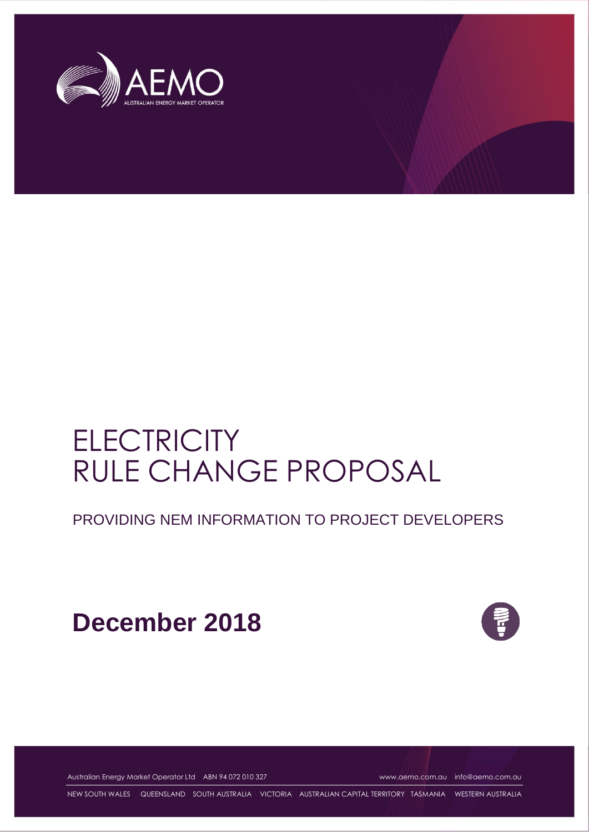

# **ELECTRICITY** RULE CHANGE PROPOSAL

PROVIDING NEM INFORMATION TO PROJECT DEVELOPERS

**December 2018**



Australian Energy Market Operator Ltd ABN 94 072 010 327 [www.aemo.com.au](http://www.aemo.com.au/) [info@aemo.com.au](mailto:info@aemo.com.au)

NEW SOUTH WALES QUEENSLAND SOUTH AUSTRALIA VICTORIA AUSTRALIAN CAPITAL TERRITORY TASMANIA WESTERN AUSTRALIA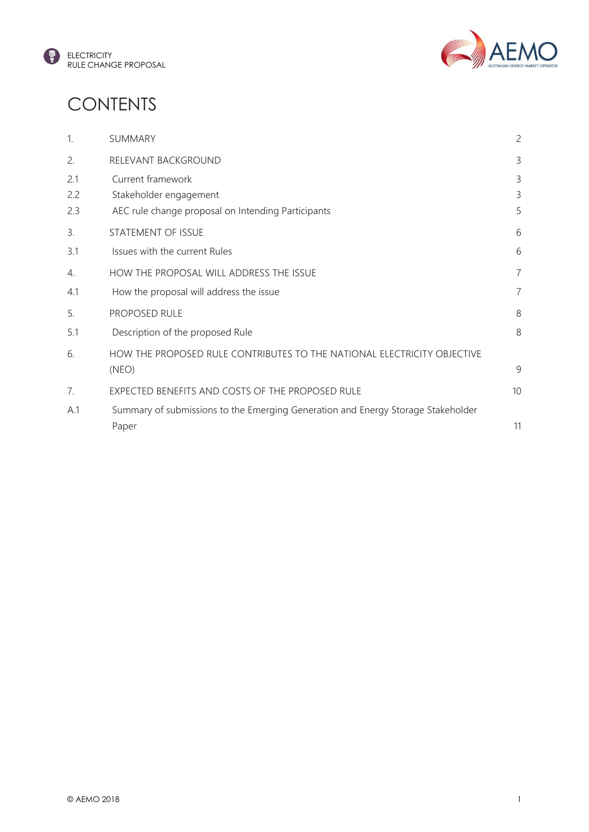



## **CONTENTS**

| 1.         | SUMMARY                                                                                   | 2              |
|------------|-------------------------------------------------------------------------------------------|----------------|
| 2.         | RELEVANT BACKGROUND                                                                       | 3              |
| 2.1        | Current framework                                                                         | 3              |
| 2.2<br>2.3 | Stakeholder engagement<br>AEC rule change proposal on Intending Participants              | 3<br>5         |
| 3.         | STATEMENT OF ISSUE                                                                        | 6              |
| 3.1        | Issues with the current Rules                                                             | 6              |
| 4.         | HOW THE PROPOSAL WILL ADDRESS THE ISSUE                                                   | $\overline{7}$ |
| 4.1        | How the proposal will address the issue                                                   | $\overline{7}$ |
| 5.         | PROPOSED RULE                                                                             | 8              |
| 5.1        | Description of the proposed Rule                                                          | 8              |
| 6.         | HOW THE PROPOSED RULE CONTRIBUTES TO THE NATIONAL ELECTRICITY OBJECTIVE<br>(NEO)          | 9              |
| 7.         | EXPECTED BENEFITS AND COSTS OF THE PROPOSED RULE                                          | 10             |
| A.1        | Summary of submissions to the Emerging Generation and Energy Storage Stakeholder<br>Paper | 11             |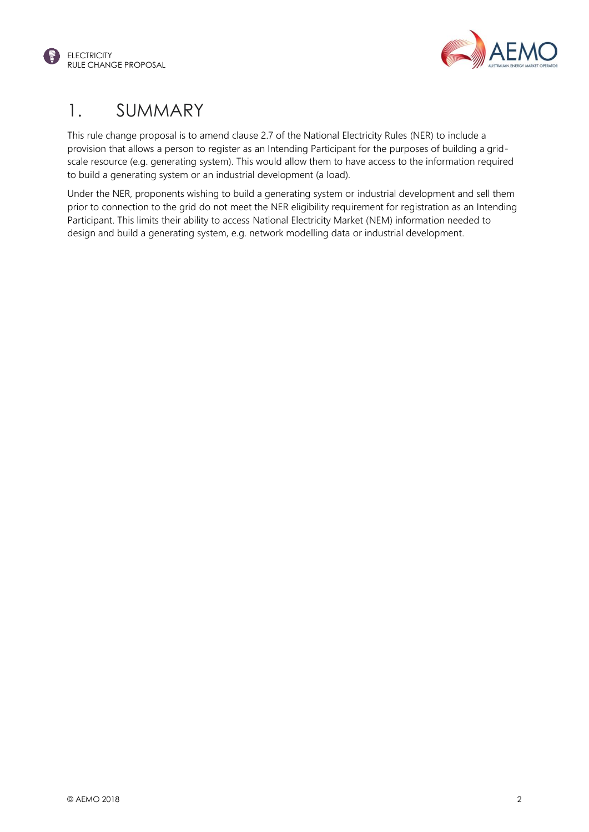



## <span id="page-3-0"></span>1. SUMMARY

This rule change proposal is to amend clause 2.7 of the National Electricity Rules (NER) to include a provision that allows a person to register as an Intending Participant for the purposes of building a gridscale resource (e.g. generating system). This would allow them to have access to the information required to build a generating system or an industrial development (a load).

Under the NER, proponents wishing to build a generating system or industrial development and sell them prior to connection to the grid do not meet the NER eligibility requirement for registration as an Intending Participant. This limits their ability to access National Electricity Market (NEM) information needed to design and build a generating system, e.g. network modelling data or industrial development.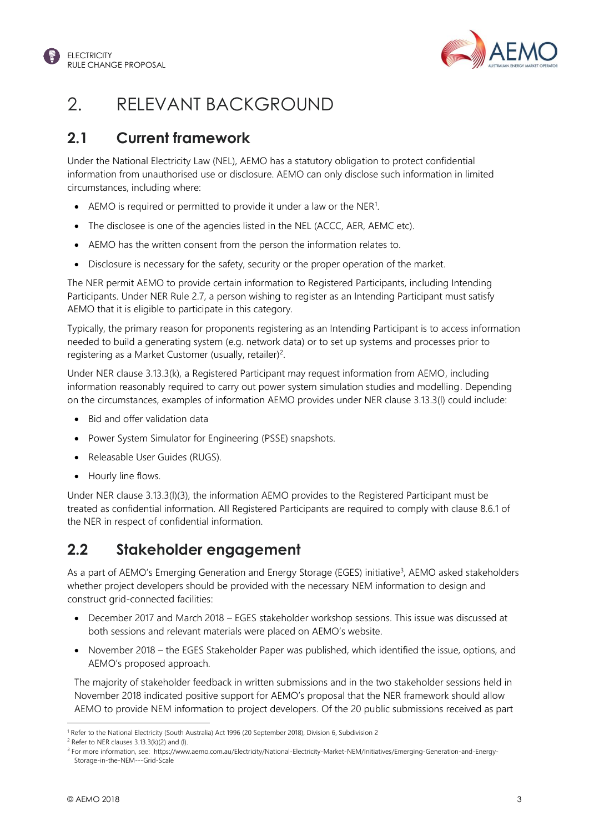



## <span id="page-4-0"></span>2. RELEVANT BACKGROUND

#### <span id="page-4-1"></span>**2.1 Current framework**

Under the National Electricity Law (NEL), AEMO has a statutory obligation to protect confidential information from unauthorised use or disclosure. AEMO can only disclose such information in limited circumstances, including where:

- AEMO is required or permitted to provide it under a law or the NER<sup>1</sup>.
- The disclosee is one of the agencies listed in the NEL (ACCC, AER, AEMC etc).
- AEMO has the written consent from the person the information relates to.
- Disclosure is necessary for the safety, security or the proper operation of the market.

The NER permit AEMO to provide certain information to Registered Participants, including Intending Participants. Under NER Rule 2.7, a person wishing to register as an Intending Participant must satisfy AEMO that it is eligible to participate in this category.

Typically, the primary reason for proponents registering as an Intending Participant is to access information needed to build a generating system (e.g. network data) or to set up systems and processes prior to registering as a Market Customer (usually, retailer)<sup>2</sup>.

Under NER clause 3.13.3(k), a Registered Participant may request information from AEMO, including information reasonably required to carry out power system simulation studies and modelling. Depending on the circumstances, examples of information AEMO provides under NER clause 3.13.3(l) could include:

- Bid and offer validation data
- Power System Simulator for Engineering (PSSE) snapshots.
- Releasable User Guides (RUGS).
- Hourly line flows.

Under NER clause 3.13.3(l)(3), the information AEMO provides to the Registered Participant must be treated as confidential information. All Registered Participants are required to comply with clause 8.6.1 of the NER in respect of confidential information.

#### <span id="page-4-2"></span>**2.2 Stakeholder engagement**

As a part of AEMO's Emerging Generation and Energy Storage (EGES) initiative<sup>3</sup>, AEMO asked stakeholders whether project developers should be provided with the necessary NEM information to design and construct grid-connected facilities:

- December 2017 and March 2018 EGES stakeholder workshop sessions. This issue was discussed at both sessions and relevant materials were placed on AEMO's website.
- November 2018 the EGES Stakeholder Paper was published, which identified the issue, options, and AEMO's proposed approach.

The majority of stakeholder feedback in written submissions and in the two stakeholder sessions held in November 2018 indicated positive support for AEMO's proposal that the NER framework should allow AEMO to provide NEM information to project developers. Of the 20 public submissions received as part

l

<sup>1</sup> Refer to the National Electricity (South Australia) Act 1996 (20 September 2018), Division 6, Subdivision 2

 $2$  Refer to NER clauses 3.13.3(k)(2) and (l).

<sup>&</sup>lt;sup>3</sup> For more information, see: https://www.aemo.com.au/Electricity/National-Electricity-Market-NEM/Initiatives/Emerging-Generation-and-Energy-Storage-in-the-NEM---Grid-Scale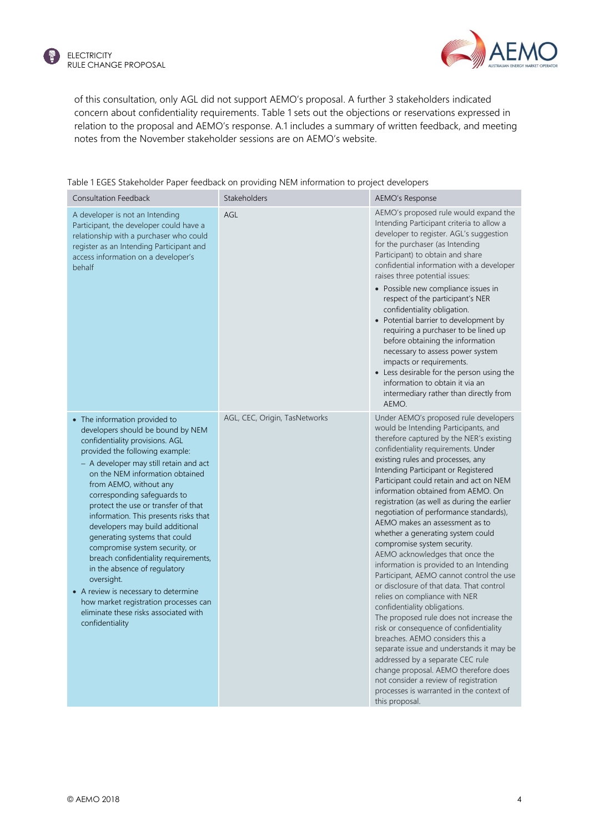

of this consultation, only AGL did not support AEMO's proposal. A further 3 stakeholders indicated concern about confidentiality requirements[. Table 1](#page-5-0) sets out the objections or reservations expressed in relation to the proposal and AEMO's response. A.1 includes a summary of written feedback, and meeting notes from the November stakeholder sessions are on AEMO's website.

| <b>Consultation Feedback</b>                                                                                                                                                                                                                                                                                                                                                                                                                                                                                                                                                                                                                                                                            | Stakeholders                  | <b>AEMO's Response</b>                                                                                                                                                                                                                                                                                                                                                                                                                                                                                                                                                                                                                                                                                                                                                                                                                                                                                                                                                                                                                                                                                                     |
|---------------------------------------------------------------------------------------------------------------------------------------------------------------------------------------------------------------------------------------------------------------------------------------------------------------------------------------------------------------------------------------------------------------------------------------------------------------------------------------------------------------------------------------------------------------------------------------------------------------------------------------------------------------------------------------------------------|-------------------------------|----------------------------------------------------------------------------------------------------------------------------------------------------------------------------------------------------------------------------------------------------------------------------------------------------------------------------------------------------------------------------------------------------------------------------------------------------------------------------------------------------------------------------------------------------------------------------------------------------------------------------------------------------------------------------------------------------------------------------------------------------------------------------------------------------------------------------------------------------------------------------------------------------------------------------------------------------------------------------------------------------------------------------------------------------------------------------------------------------------------------------|
| A developer is not an Intending<br>Participant, the developer could have a<br>relationship with a purchaser who could<br>register as an Intending Participant and<br>access information on a developer's<br>behalf                                                                                                                                                                                                                                                                                                                                                                                                                                                                                      | AGL                           | AEMO's proposed rule would expand the<br>Intending Participant criteria to allow a<br>developer to register. AGL's suggestion<br>for the purchaser (as Intending<br>Participant) to obtain and share<br>confidential information with a developer<br>raises three potential issues:<br>• Possible new compliance issues in<br>respect of the participant's NER<br>confidentiality obligation.<br>• Potential barrier to development by<br>requiring a purchaser to be lined up<br>before obtaining the information<br>necessary to assess power system<br>impacts or requirements.<br>• Less desirable for the person using the<br>information to obtain it via an<br>intermediary rather than directly from<br>AEMO.                                                                                                                                                                                                                                                                                                                                                                                                      |
| • The information provided to<br>developers should be bound by NEM<br>confidentiality provisions. AGL<br>provided the following example:<br>- A developer may still retain and act<br>on the NEM information obtained<br>from AEMO, without any<br>corresponding safeguards to<br>protect the use or transfer of that<br>information. This presents risks that<br>developers may build additional<br>generating systems that could<br>compromise system security, or<br>breach confidentiality requirements,<br>in the absence of regulatory<br>oversight.<br>• A review is necessary to determine<br>how market registration processes can<br>eliminate these risks associated with<br>confidentiality | AGL, CEC, Origin, TasNetworks | Under AEMO's proposed rule developers<br>would be Intending Participants, and<br>therefore captured by the NER's existing<br>confidentiality requirements. Under<br>existing rules and processes, any<br>Intending Participant or Registered<br>Participant could retain and act on NEM<br>information obtained from AEMO. On<br>registration (as well as during the earlier<br>negotiation of performance standards),<br>AEMO makes an assessment as to<br>whether a generating system could<br>compromise system security.<br>AEMO acknowledges that once the<br>information is provided to an Intending<br>Participant, AEMO cannot control the use<br>or disclosure of that data. That control<br>relies on compliance with NER<br>confidentiality obligations.<br>The proposed rule does not increase the<br>risk or consequence of confidentiality<br>breaches. AEMO considers this a<br>separate issue and understands it may be<br>addressed by a separate CEC rule<br>change proposal. AEMO therefore does<br>not consider a review of registration<br>processes is warranted in the context of<br>this proposal. |

#### <span id="page-5-0"></span>Table 1 EGES Stakeholder Paper feedback on providing NEM information to project developers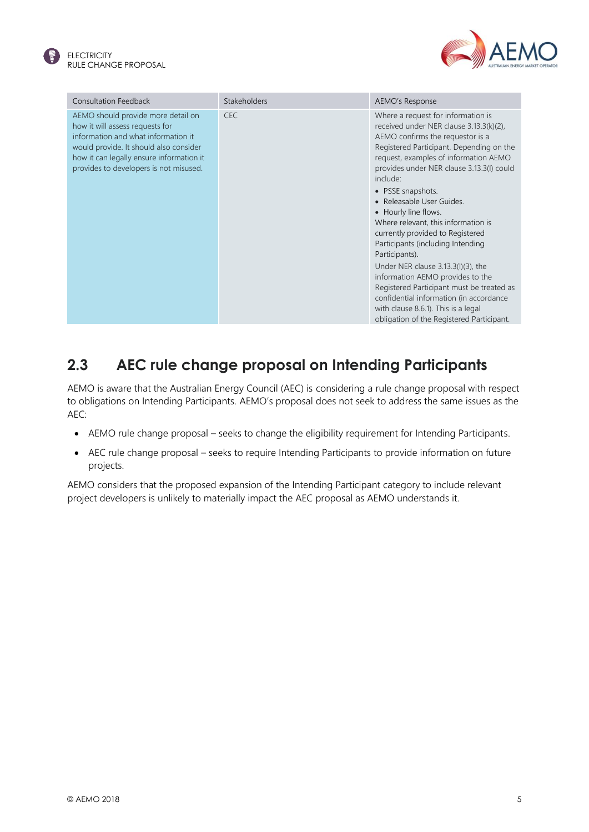



| <b>Consultation Feedback</b>                                                                                                                                                                                                                 | <b>Stakeholders</b> | AEMO's Response                                                                                                                                                                                                                                                                                                                                                                                                                                                                                                                                                                                                                                                                                                                      |
|----------------------------------------------------------------------------------------------------------------------------------------------------------------------------------------------------------------------------------------------|---------------------|--------------------------------------------------------------------------------------------------------------------------------------------------------------------------------------------------------------------------------------------------------------------------------------------------------------------------------------------------------------------------------------------------------------------------------------------------------------------------------------------------------------------------------------------------------------------------------------------------------------------------------------------------------------------------------------------------------------------------------------|
| AEMO should provide more detail on<br>how it will assess requests for<br>information and what information it<br>would provide. It should also consider<br>how it can legally ensure information it<br>provides to developers is not misused. | <b>CEC</b>          | Where a request for information is<br>received under NER clause 3.13.3(k)(2),<br>AEMO confirms the requestor is a<br>Registered Participant. Depending on the<br>request, examples of information AEMO<br>provides under NER clause 3.13.3(I) could<br>include:<br>• PSSE snapshots.<br>• Releasable User Guides.<br>• Hourly line flows.<br>Where relevant, this information is<br>currently provided to Registered<br>Participants (including Intending<br>Participants).<br>Under NER clause $3.13.3(1)(3)$ , the<br>information AEMO provides to the<br>Registered Participant must be treated as<br>confidential information (in accordance<br>with clause 8.6.1). This is a legal<br>obligation of the Registered Participant. |

#### <span id="page-6-0"></span>**2.3 AEC rule change proposal on Intending Participants**

AEMO is aware that the Australian Energy Council (AEC) is considering a rule change proposal with respect to obligations on Intending Participants. AEMO's proposal does not seek to address the same issues as the AEC:

- AEMO rule change proposal seeks to change the eligibility requirement for Intending Participants.
- AEC rule change proposal seeks to require Intending Participants to provide information on future projects.

AEMO considers that the proposed expansion of the Intending Participant category to include relevant project developers is unlikely to materially impact the AEC proposal as AEMO understands it.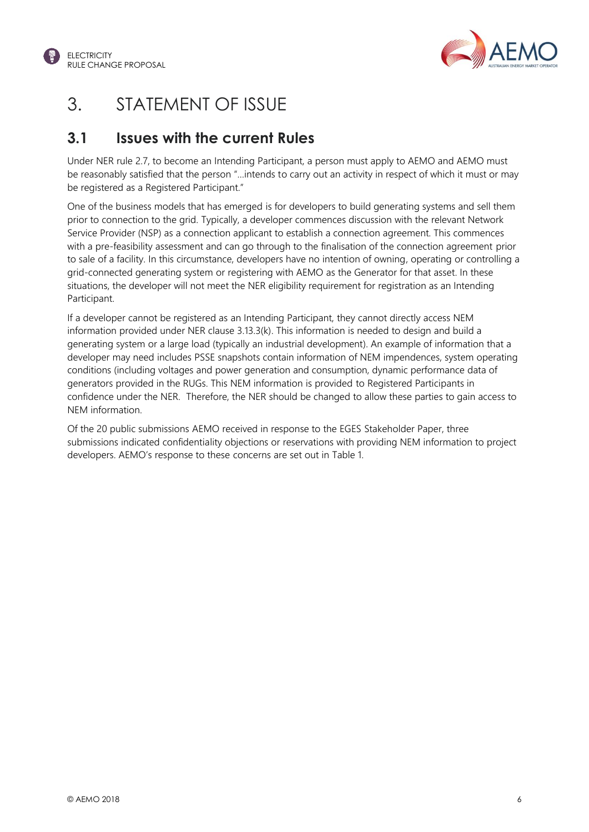



### <span id="page-7-0"></span>3. STATEMENT OF ISSUE

#### <span id="page-7-1"></span>**3.1 Issues with the current Rules**

Under NER rule 2.7, to become an Intending Participant, a person must apply to AEMO and AEMO must be reasonably satisfied that the person "…intends to carry out an activity in respect of which it must or may be registered as a Registered Participant."

One of the business models that has emerged is for developers to build generating systems and sell them prior to connection to the grid. Typically, a developer commences discussion with the relevant Network Service Provider (NSP) as a connection applicant to establish a connection agreement. This commences with a pre-feasibility assessment and can go through to the finalisation of the connection agreement prior to sale of a facility. In this circumstance, developers have no intention of owning, operating or controlling a grid-connected generating system or registering with AEMO as the Generator for that asset. In these situations, the developer will not meet the NER eligibility requirement for registration as an Intending Participant.

If a developer cannot be registered as an Intending Participant, they cannot directly access NEM information provided under NER clause 3.13.3(k). This information is needed to design and build a generating system or a large load (typically an industrial development). An example of information that a developer may need includes PSSE snapshots contain information of NEM impendences, system operating conditions (including voltages and power generation and consumption, dynamic performance data of generators provided in the RUGs. This NEM information is provided to Registered Participants in confidence under the NER. Therefore, the NER should be changed to allow these parties to gain access to NEM information.

Of the 20 public submissions AEMO received in response to the EGES Stakeholder Paper, three submissions indicated confidentiality objections or reservations with providing NEM information to project developers. AEMO's response to these concerns are set out in [Table 1.](#page-5-0)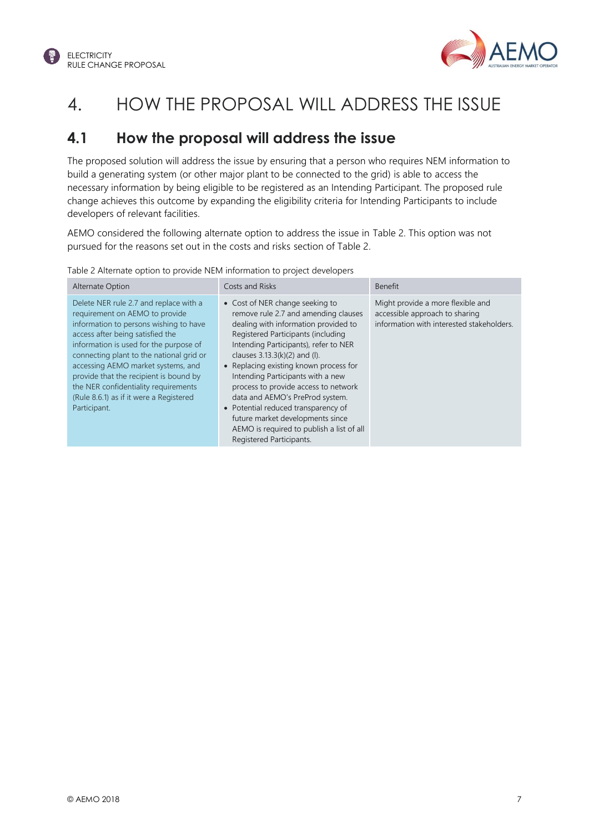



### <span id="page-8-0"></span>4. HOW THE PROPOSAL WILL ADDRESS THE ISSUE

#### <span id="page-8-1"></span>**4.1 How the proposal will address the issue**

The proposed solution will address the issue by ensuring that a person who requires NEM information to build a generating system (or other major plant to be connected to the grid) is able to access the necessary information by being eligible to be registered as an Intending Participant. The proposed rule change achieves this outcome by expanding the eligibility criteria for Intending Participants to include developers of relevant facilities.

AEMO considered the following alternate option to address the issue in [Table 2.](#page-8-2) This option was not pursued for the reasons set out in the costs and risks section of Table 2.

<span id="page-8-2"></span>

| Table 2 Alternate option to provide NEM information to project developers |  |  |  |  |
|---------------------------------------------------------------------------|--|--|--|--|

| Alternate Option                                                                                                                                                                                                                                                                                                                                                                                                                | Costs and Risks                                                                                                                                                                                                                                                                                                                                                                                                                                                                                                                                 | <b>Benefit</b>                                                                                                   |
|---------------------------------------------------------------------------------------------------------------------------------------------------------------------------------------------------------------------------------------------------------------------------------------------------------------------------------------------------------------------------------------------------------------------------------|-------------------------------------------------------------------------------------------------------------------------------------------------------------------------------------------------------------------------------------------------------------------------------------------------------------------------------------------------------------------------------------------------------------------------------------------------------------------------------------------------------------------------------------------------|------------------------------------------------------------------------------------------------------------------|
| Delete NER rule 2.7 and replace with a<br>requirement on AEMO to provide<br>information to persons wishing to have<br>access after being satisfied the<br>information is used for the purpose of<br>connecting plant to the national grid or<br>accessing AEMO market systems, and<br>provide that the recipient is bound by<br>the NER confidentiality requirements<br>(Rule 8.6.1) as if it were a Registered<br>Participant. | • Cost of NER change seeking to<br>remove rule 2.7 and amending clauses<br>dealing with information provided to<br>Registered Participants (including<br>Intending Participants), refer to NER<br>clauses $3.13.3(k)(2)$ and (l).<br>• Replacing existing known process for<br>Intending Participants with a new<br>process to provide access to network<br>data and AEMO's PreProd system.<br>• Potential reduced transparency of<br>future market developments since<br>AEMO is required to publish a list of all<br>Registered Participants. | Might provide a more flexible and<br>accessible approach to sharing<br>information with interested stakeholders. |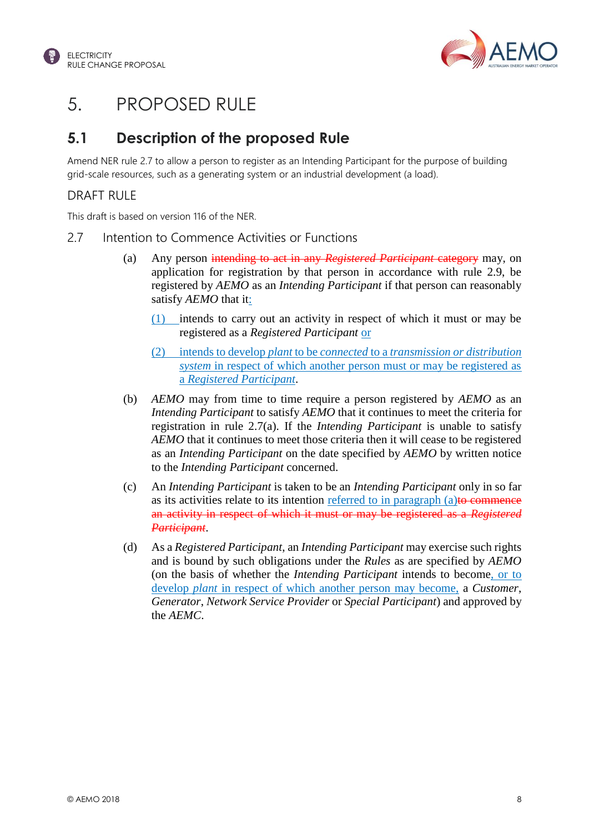



### <span id="page-9-0"></span>5. PROPOSED RULE

#### <span id="page-9-1"></span>**5.1 Description of the proposed Rule**

Amend NER rule 2.7 to allow a person to register as an Intending Participant for the purpose of building grid-scale resources, such as a generating system or an industrial development (a load).

#### DRAFT RULE

This draft is based on version 116 of the NER.

- 2.7 Intention to Commence Activities or Functions
	- (a) Any person intending to act in any *Registered Participant* category may, on application for registration by that person in accordance with rule 2.9, be registered by *AEMO* as an *Intending Participant* if that person can reasonably satisfy *AEMO* that it:
		- (1) intends to carry out an activity in respect of which it must or may be registered as a *Registered Participant* or
		- (2) intends to develop *plant* to be *connected* to a *transmission or distribution system* in respect of which another person must or may be registered as a *Registered Participant*.
	- (b) *AEMO* may from time to time require a person registered by *AEMO* as an *Intending Participant* to satisfy *AEMO* that it continues to meet the criteria for registration in rule 2.7(a). If the *Intending Participant* is unable to satisfy *AEMO* that it continues to meet those criteria then it will cease to be registered as an *Intending Participant* on the date specified by *AEMO* by written notice to the *Intending Participant* concerned.
	- (c) An *Intending Participant* is taken to be an *Intending Participant* only in so far as its activities relate to its intention referred to in paragraph  $(a)$  to commence an activity in respect of which it must or may be registered as a *Registered Participant*.
	- (d) As a *Registered Participant*, an *Intending Participant* may exercise such rights and is bound by such obligations under the *Rules* as are specified by *AEMO* (on the basis of whether the *Intending Participant* intends to become, or to develop *plant* in respect of which another person may become, a *Customer*, *Generator*, *Network Service Provider* or *Special Participant*) and approved by the *AEMC*.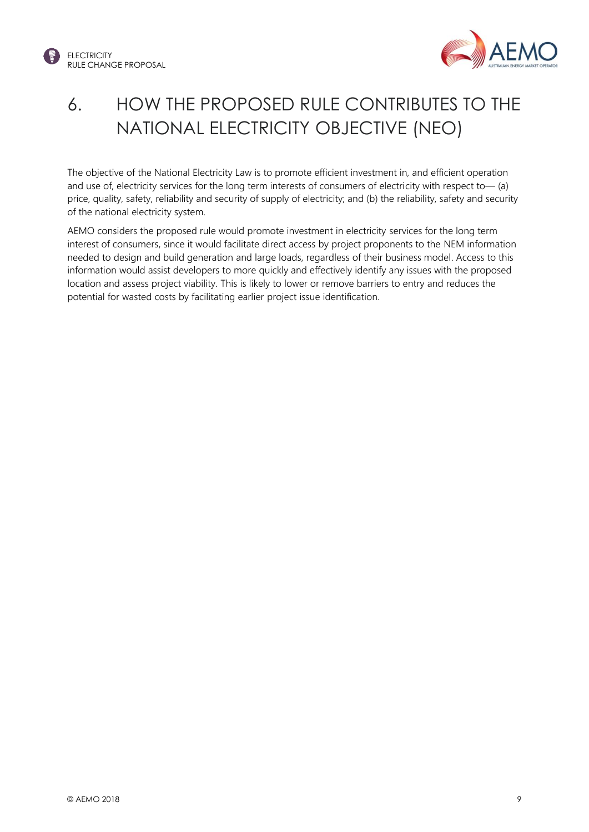



## <span id="page-10-0"></span>6. HOW THE PROPOSED RULE CONTRIBUTES TO THE NATIONAL ELECTRICITY OBJECTIVE (NEO)

The objective of the National Electricity Law is to promote efficient investment in, and efficient operation and use of, electricity services for the long term interests of consumers of electricity with respect to— (a) price, quality, safety, reliability and security of supply of electricity; and (b) the reliability, safety and security of the national electricity system.

AEMO considers the proposed rule would promote investment in electricity services for the long term interest of consumers, since it would facilitate direct access by project proponents to the NEM information needed to design and build generation and large loads, regardless of their business model. Access to this information would assist developers to more quickly and effectively identify any issues with the proposed location and assess project viability. This is likely to lower or remove barriers to entry and reduces the potential for wasted costs by facilitating earlier project issue identification.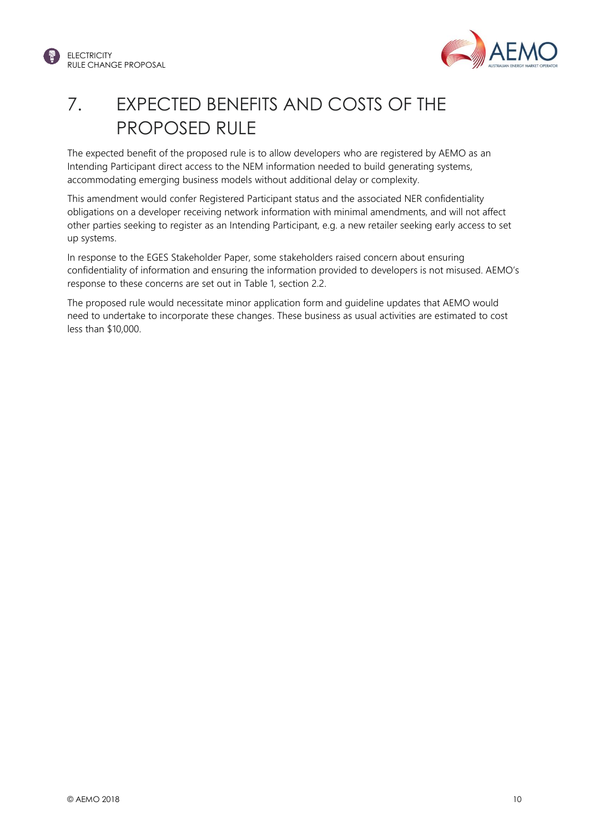



## <span id="page-11-0"></span>7. EXPECTED BENEFITS AND COSTS OF THE PROPOSED RULE

The expected benefit of the proposed rule is to allow developers who are registered by AEMO as an Intending Participant direct access to the NEM information needed to build generating systems, accommodating emerging business models without additional delay or complexity.

This amendment would confer Registered Participant status and the associated NER confidentiality obligations on a developer receiving network information with minimal amendments, and will not affect other parties seeking to register as an Intending Participant, e.g. a new retailer seeking early access to set up systems.

In response to the EGES Stakeholder Paper, some stakeholders raised concern about ensuring confidentiality of information and ensuring the information provided to developers is not misused. AEMO's response to these concerns are set out in [Table 1,](#page-5-0) section 2.2.

The proposed rule would necessitate minor application form and guideline updates that AEMO would need to undertake to incorporate these changes. These business as usual activities are estimated to cost less than \$10,000.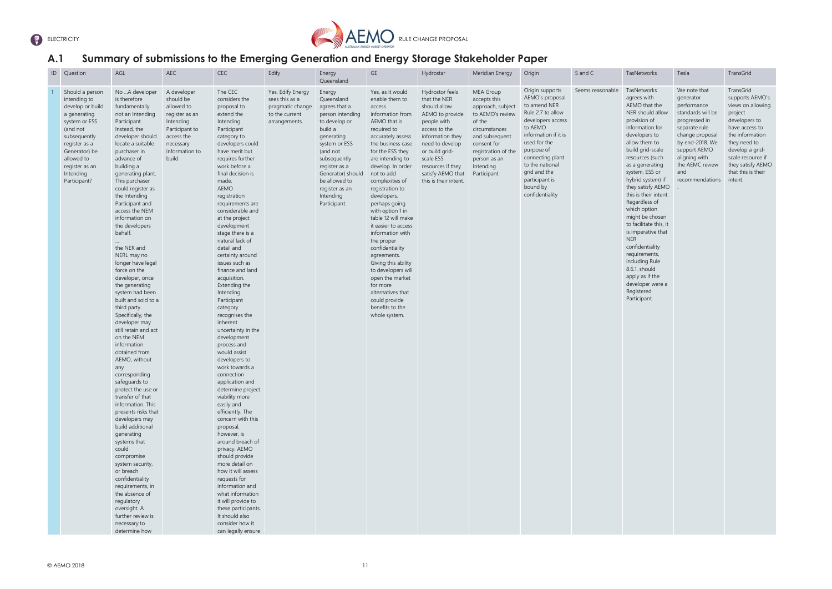



#### <span id="page-12-0"></span>**A.1 Summary of submissions to the Emerging Generation and Energy Storage Stakeholder Paper**

| ID | Question                                                                                                                                                                                                        | AGL                                                                                                                                                                                                                                                                                                                                                                                                                                                                                                                                                                                                                                                                                                                                                                                                                                                                                                                                                                                                                                                              | AEC                                                                                                                                           | CEC                                                                                                                                                                                                                                                                                                                                                                                                                                                                                                                                                                                                                                                                                                                                                                                                                                                                                                                                                                                                                                                              | Edify                                                                                      | Energy<br>Queensland                                                                                                                                                                                                                                   | GE                                                                                                                                                                                                                                                                                                                                                                                                                                                                                                                                                                                    | Hydrostar                                                                                                                                                                                                                                   | Meridian Energy                                                                                                                                                                                    | Origin                                                                                                                                                                                                                                                                | S and C          | TasNetworks                                                                                                                                                                                                                                                                                                                                                                                                                                                                                                                                       | Tesla                                                                                                                                                                                                               | TransGric                                                                                                                                                           |
|----|-----------------------------------------------------------------------------------------------------------------------------------------------------------------------------------------------------------------|------------------------------------------------------------------------------------------------------------------------------------------------------------------------------------------------------------------------------------------------------------------------------------------------------------------------------------------------------------------------------------------------------------------------------------------------------------------------------------------------------------------------------------------------------------------------------------------------------------------------------------------------------------------------------------------------------------------------------------------------------------------------------------------------------------------------------------------------------------------------------------------------------------------------------------------------------------------------------------------------------------------------------------------------------------------|-----------------------------------------------------------------------------------------------------------------------------------------------|------------------------------------------------------------------------------------------------------------------------------------------------------------------------------------------------------------------------------------------------------------------------------------------------------------------------------------------------------------------------------------------------------------------------------------------------------------------------------------------------------------------------------------------------------------------------------------------------------------------------------------------------------------------------------------------------------------------------------------------------------------------------------------------------------------------------------------------------------------------------------------------------------------------------------------------------------------------------------------------------------------------------------------------------------------------|--------------------------------------------------------------------------------------------|--------------------------------------------------------------------------------------------------------------------------------------------------------------------------------------------------------------------------------------------------------|---------------------------------------------------------------------------------------------------------------------------------------------------------------------------------------------------------------------------------------------------------------------------------------------------------------------------------------------------------------------------------------------------------------------------------------------------------------------------------------------------------------------------------------------------------------------------------------|---------------------------------------------------------------------------------------------------------------------------------------------------------------------------------------------------------------------------------------------|----------------------------------------------------------------------------------------------------------------------------------------------------------------------------------------------------|-----------------------------------------------------------------------------------------------------------------------------------------------------------------------------------------------------------------------------------------------------------------------|------------------|---------------------------------------------------------------------------------------------------------------------------------------------------------------------------------------------------------------------------------------------------------------------------------------------------------------------------------------------------------------------------------------------------------------------------------------------------------------------------------------------------------------------------------------------------|---------------------------------------------------------------------------------------------------------------------------------------------------------------------------------------------------------------------|---------------------------------------------------------------------------------------------------------------------------------------------------------------------|
|    | Should a person<br>intending to<br>develop or build<br>a generating<br>system or ESS<br>(and not<br>subsequently<br>register as a<br>Generator) be<br>allowed to<br>register as an<br>Intending<br>Participant? | No A developer<br>is therefore<br>fundamentally<br>not an Intending<br>Participant.<br>Instead, the<br>developer should<br>locate a suitable<br>purchaser in<br>advance of<br>building a<br>generating plant.<br>This purchaser<br>could register as<br>the Intending<br>Participant and<br>access the NEM<br>information on<br>the developers<br>behalf.<br>the NER and<br>NERL may no<br>longer have legal<br>force on the<br>developer, once<br>the generating<br>system had been<br>built and sold to a<br>third party.<br>Specifically, the<br>developer may<br>still retain and act<br>on the NEM<br>information<br>obtained from<br>AEMO, without<br>any<br>corresponding<br>safeguards to<br>protect the use or<br>transfer of that<br>information. This<br>presents risks that<br>developers may<br>build additional<br>generating<br>systems that<br>could<br>compromise<br>system security,<br>or breach<br>confidentiality<br>requirements, in<br>the absence of<br>regulatory<br>oversight. A<br>further review is<br>necessary to<br>determine how | A developer<br>should be<br>allowed to<br>register as an<br>Intending<br>Participant to<br>access the<br>necessary<br>information to<br>build | The CEC<br>considers the<br>proposal to<br>extend the<br>Intending<br>Participant<br>category to<br>developers could<br>have merit but<br>requires further<br>work before a<br>final decision is<br>made.<br>AEMO<br>registration<br>requirements are<br>considerable and<br>at the project<br>development<br>stage there is a<br>natural lack of<br>detail and<br>certainty around<br>issues such as<br>finance and land<br>acquisition.<br>Extending the<br>Intending<br>Participant<br>category<br>recognises the<br>inherent<br>uncertainty in the<br>development<br>process and<br>would assist<br>developers to<br>work towards a<br>connection<br>application and<br>determine project<br>viability more<br>easily and<br>efficiently. The<br>concern with this<br>proposal,<br>however, is<br>around breach of<br>privacy. AEMO<br>should provide<br>more detail on<br>how it will assess<br>requests for<br>information and<br>what information<br>it will provide to<br>these participants.<br>It should also<br>consider how it<br>can legally ensure | Yes. Edify Energy<br>sees this as a<br>pragmatic change<br>to the current<br>arrangements. | Energy<br>Queensland<br>agrees that a<br>person intending<br>to develop or<br>build a<br>generating<br>system or ESS<br>(and not<br>subsequently<br>register as a<br>Generator) should<br>be allowed to<br>register as an<br>Intending<br>Participant. | Yes, as it would<br>enable them to<br>access<br>information from<br>AEMO that is<br>required to<br>accurately assess<br>the business case<br>for the ESS they<br>are intending to<br>develop. In order<br>not to add<br>complexities of<br>registration to<br>developers,<br>perhaps going<br>with option 1 in<br>table 12 will make<br>it easier to access<br>information with<br>the proper<br>confidentiality<br>agreements.<br>Giving this ability<br>to developers will<br>open the market<br>for more<br>alternatives that<br>could provide<br>benefits to the<br>whole system. | Hydrostor feels<br>that the NER<br>should allow<br>AEMO to provide<br>people with<br>access to the<br>information they<br>need to develop<br>or build grid-<br>scale ESS<br>resources if they<br>satisfy AEMO that<br>this is their intent. | MEA Group<br>accepts this<br>approach, subject<br>to AEMO's review<br>of the<br>circumstances<br>and subsequent<br>consent for<br>registration of the<br>person as an<br>Intending<br>Participant. | Origin supports<br>AEMO's proposal<br>to amend NER<br>Rule 2.7 to allow<br>developers access<br>to AEMO<br>information if it is<br>used for the<br>purpose of<br>connecting plant<br>to the national<br>grid and the<br>participant is<br>bound by<br>confidentiality | Seems reasonable | TasNetworks<br>agrees with<br>AEMO that the<br>NER should allow<br>provision of<br>information for<br>developers to<br>allow them to<br>build grid-scale<br>resources (such<br>as a generating<br>system, ESS or<br>hybrid system) if<br>they satisfy AEMO<br>this is their intent.<br>Regardless of<br>which option<br>might be chosen<br>to facilitate this, it<br>is imperative that<br><b>NER</b><br>confidentiality<br>requirements,<br>including Rule<br>8.6.1, should<br>apply as if the<br>developer were a<br>Registered<br>Participant. | We note that<br>generator<br>performance<br>standards will be<br>progressed in<br>separate rule<br>change proposal<br>by end-2018. We<br>support AEMO<br>aligning with<br>the AEMC review<br>and<br>recommendations | TransGric<br>supports<br>views on<br>project<br>develope<br>have acce<br>the inforr<br>they need<br>develop a<br>scale reso<br>they satis<br>that this i<br>intent. |

TransGrid supports AEMO's views on allowing project developers to have access to the information they need to develop a gridscale resource if they satisfy AEMO that this is their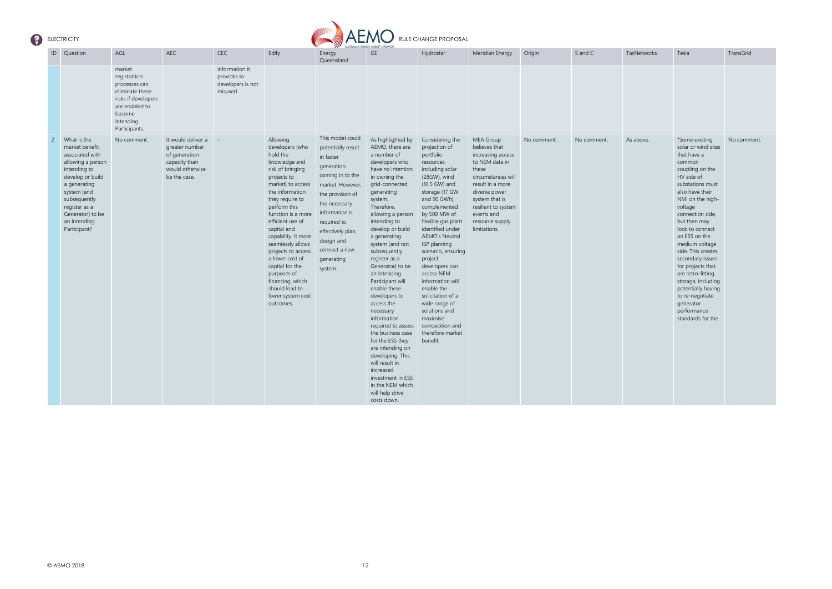

| ID             | Question                                                                                                                                                                                                                      | AGL                                                                                                                                         | AEC                                                                                                       | <b>CEC</b>                                                     | Edify                                                                                                                                                                                                                                                                                                                                                                                                                          | AUSTRALIAN ENERGY MARKET OPERATOR<br>Energy                                                                                                                                                                                                                 | GE                                                                                                                                                                                                                                                                                                                                                                                                                                                                                                                                                                                                                                                    | Hydrostar                                                                                                                                                                                                                                                                                                                                                                                                                                                                              | Meridian Energy                                                                                                                                                                                                                 | Origin      | S and C     | TasNetworks | Tesla                                                                                                                                                                                                                                                                                                                                                                                                                                                               | TransGrid   |
|----------------|-------------------------------------------------------------------------------------------------------------------------------------------------------------------------------------------------------------------------------|---------------------------------------------------------------------------------------------------------------------------------------------|-----------------------------------------------------------------------------------------------------------|----------------------------------------------------------------|--------------------------------------------------------------------------------------------------------------------------------------------------------------------------------------------------------------------------------------------------------------------------------------------------------------------------------------------------------------------------------------------------------------------------------|-------------------------------------------------------------------------------------------------------------------------------------------------------------------------------------------------------------------------------------------------------------|-------------------------------------------------------------------------------------------------------------------------------------------------------------------------------------------------------------------------------------------------------------------------------------------------------------------------------------------------------------------------------------------------------------------------------------------------------------------------------------------------------------------------------------------------------------------------------------------------------------------------------------------------------|----------------------------------------------------------------------------------------------------------------------------------------------------------------------------------------------------------------------------------------------------------------------------------------------------------------------------------------------------------------------------------------------------------------------------------------------------------------------------------------|---------------------------------------------------------------------------------------------------------------------------------------------------------------------------------------------------------------------------------|-------------|-------------|-------------|---------------------------------------------------------------------------------------------------------------------------------------------------------------------------------------------------------------------------------------------------------------------------------------------------------------------------------------------------------------------------------------------------------------------------------------------------------------------|-------------|
|                |                                                                                                                                                                                                                               | market<br>registration<br>processes can<br>eliminate these<br>risks if developers<br>are enabled to<br>become<br>Intending<br>Participants. |                                                                                                           | information it<br>provides to<br>developers is not<br>misused. |                                                                                                                                                                                                                                                                                                                                                                                                                                | Queensland                                                                                                                                                                                                                                                  |                                                                                                                                                                                                                                                                                                                                                                                                                                                                                                                                                                                                                                                       |                                                                                                                                                                                                                                                                                                                                                                                                                                                                                        |                                                                                                                                                                                                                                 |             |             |             |                                                                                                                                                                                                                                                                                                                                                                                                                                                                     |             |
| $\overline{2}$ | What is the<br>market benefit<br>associated with<br>allowing a person<br>intending to<br>develop or build<br>a generating<br>system (and<br>subsequently<br>register as a<br>Generator) to be<br>an Intending<br>Participant? | No comment.                                                                                                                                 | It would deliver a<br>greater number<br>of generation<br>capacity than<br>would otherwise<br>be the case. |                                                                | Allowing<br>developers (who<br>hold the<br>knowledge and<br>risk of bringing<br>projects to<br>market) to access<br>the information<br>they require to<br>perform this<br>function is a more<br>efficient use of<br>capital and<br>capability. It more<br>seamlessly allows<br>projects to access<br>a lower cost of<br>capital for the<br>purposes of<br>financing, which<br>should lead to<br>lower system cost<br>outcomes. | This model could<br>potentially result<br>in faster<br>generation<br>coming in to the<br>market. However<br>the provision of<br>the necessary<br>information is<br>required to<br>effectively plan,<br>design and<br>connect a new<br>generating<br>system. | As highlighted by<br>AEMO, there are<br>a number of<br>developers who<br>have no intention<br>in owning the<br>grid-connected<br>generating<br>system.<br>Therefore,<br>allowing a person<br>intending to<br>develop or build<br>a generating<br>system (and not<br>subsequently<br>register as a<br>Generator) to be<br>an Intending<br>Participant will<br>enable these<br>developers to<br>access the<br>necessary<br>information<br>required to assess<br>the business case<br>for the ESS they<br>are intending on<br>developing. This<br>will result in<br>increased<br>investment in ESS<br>in the NEM which<br>will help drive<br>costs down. | Considering the<br>projection of<br>portfolio<br>resources,<br>including solar<br>(28GW), wind<br>(10.5 GW) and<br>storage (17 GW<br>and 90 GWh),<br>complemented<br>by 500 MW of<br>flexible gas plant<br>identified under<br>AEMO's Neutral<br>ISP planning<br>scenario, ensuring<br>project<br>developers can<br>access NEM<br>information will<br>enable the<br>solicitation of a<br>wide range of<br>solutions and<br>maximise<br>competition and<br>therefore market<br>benefit. | MEA Group<br>believes that<br>increasing access<br>to NEM data in<br>these<br>circumstances will<br>result in a more<br>diverse power<br>system that is<br>resilient to system<br>events and<br>resource supply<br>limitations. | No comment. | No comment. | As above.   | "Some existing<br>solar or wind sites<br>that have a<br>common<br>coupling on the<br>HV side of<br>substations must<br>also have their<br>NMI on the high-<br>voltage<br>connection side,<br>but then may<br>look to connect<br>an ESS on the<br>medium voltage<br>side. This creates<br>secondary issues<br>for projects that<br>are retro-fitting<br>storage, including<br>potentially having<br>to re-negotiate<br>generator<br>performance<br>standards for the | No comment. |